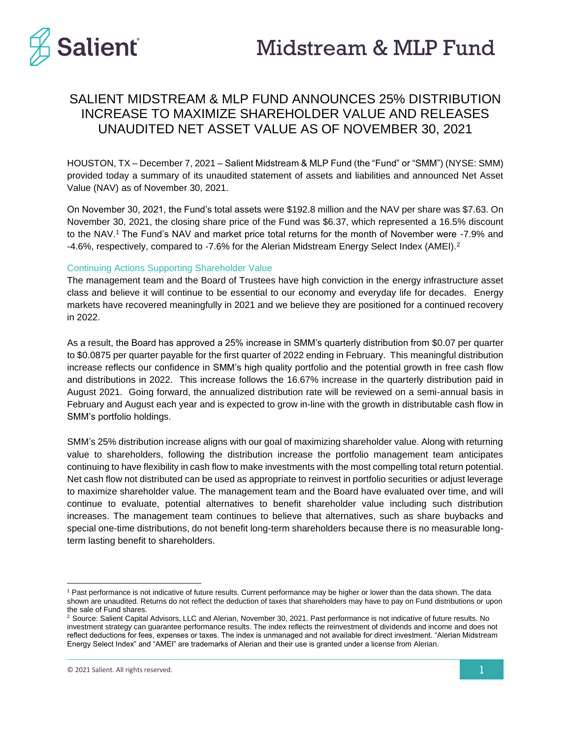

# Midstream & MLP Fund

## SALIENT MIDSTREAM & MLP FUND ANNOUNCES 25% DISTRIBUTION INCREASE TO MAXIMIZE SHAREHOLDER VALUE AND RELEASES UNAUDITED NET ASSET VALUE AS OF NOVEMBER 30, 2021

HOUSTON, TX – December 7, 2021 – Salient Midstream & MLP Fund (the "Fund" or "SMM") (NYSE: SMM) provided today a summary of its unaudited statement of assets and liabilities and announced Net Asset Value (NAV) as of November 30, 2021.

On November 30, 2021, the Fund's total assets were \$192.8 million and the NAV per share was \$7.63. On November 30, 2021, the closing share price of the Fund was \$6.37, which represented a 16.5% discount to the NAV.<sup>1</sup> The Fund's NAV and market price total returns for the month of November were -7.9% and -4.6%, respectively, compared to -7.6% for the Alerian Midstream Energy Select Index (AMEI).<sup>2</sup>

## Continuing Actions Supporting Shareholder Value

The management team and the Board of Trustees have high conviction in the energy infrastructure asset class and believe it will continue to be essential to our economy and everyday life for decades. Energy markets have recovered meaningfully in 2021 and we believe they are positioned for a continued recovery in 2022.

As a result, the Board has approved a 25% increase in SMM's quarterly distribution from \$0.07 per quarter to \$0.0875 per quarter payable for the first quarter of 2022 ending in February. This meaningful distribution increase reflects our confidence in SMM's high quality portfolio and the potential growth in free cash flow and distributions in 2022. This increase follows the 16.67% increase in the quarterly distribution paid in August 2021. Going forward, the annualized distribution rate will be reviewed on a semi-annual basis in February and August each year and is expected to grow in-line with the growth in distributable cash flow in SMM's portfolio holdings.

SMM's 25% distribution increase aligns with our goal of maximizing shareholder value. Along with returning value to shareholders, following the distribution increase the portfolio management team anticipates continuing to have flexibility in cash flow to make investments with the most compelling total return potential. Net cash flow not distributed can be used as appropriate to reinvest in portfolio securities or adjust leverage to maximize shareholder value. The management team and the Board have evaluated over time, and will continue to evaluate, potential alternatives to benefit shareholder value including such distribution increases. The management team continues to believe that alternatives, such as share buybacks and special one-time distributions, do not benefit long-term shareholders because there is no measurable longterm lasting benefit to shareholders.

<sup>1</sup> Past performance is not indicative of future results. Current performance may be higher or lower than the data shown. The data shown are unaudited. Returns do not reflect the deduction of taxes that shareholders may have to pay on Fund distributions or upon the sale of Fund shares.

<sup>&</sup>lt;sup>2</sup> Source: Salient Capital Advisors, LLC and Alerian, November 30, 2021. Past performance is not indicative of future results. No investment strategy can guarantee performance results. The index reflects the reinvestment of dividends and income and does not reflect deductions for fees, expenses or taxes. The index is unmanaged and not available for direct investment. "Alerian Midstream Energy Select Index" and "AMEI" are trademarks of Alerian and their use is granted under a license from Alerian.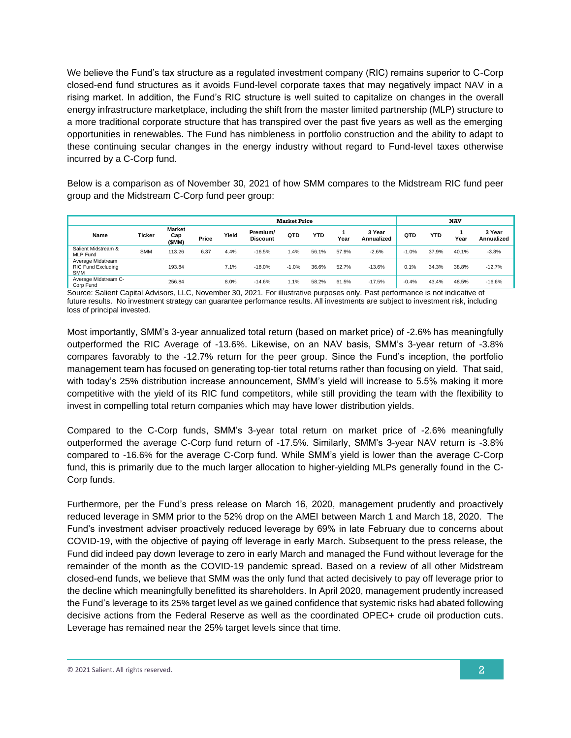We believe the Fund's tax structure as a regulated investment company (RIC) remains superior to C-Corp closed-end fund structures as it avoids Fund-level corporate taxes that may negatively impact NAV in a rising market. In addition, the Fund's RIC structure is well suited to capitalize on changes in the overall energy infrastructure marketplace, including the shift from the master limited partnership (MLP) structure to a more traditional corporate structure that has transpired over the past five years as well as the emerging opportunities in renewables. The Fund has nimbleness in portfolio construction and the ability to adapt to these continuing secular changes in the energy industry without regard to Fund-level taxes otherwise incurred by a C-Corp fund.

Below is a comparison as of November 30, 2021 of how SMM compares to the Midstream RIC fund peer group and the Midstream C-Corp fund peer group:

| <b>Market Price</b>                                          |               |                               |       |       |                             |         | <b>NAV</b> |       |                      |         |            |       |                      |
|--------------------------------------------------------------|---------------|-------------------------------|-------|-------|-----------------------------|---------|------------|-------|----------------------|---------|------------|-------|----------------------|
| Name                                                         | <b>Ticker</b> | <b>Market</b><br>Cap<br>(SMM) | Price | Yield | Premium/<br><b>Discount</b> | QTD     | YTD        | Year  | 3 Year<br>Annualized | QTD     | <b>YTD</b> | Year  | 3 Year<br>Annualized |
| Salient Midstream &<br><b>MLP Fund</b>                       | <b>SMM</b>    | 113.26                        | 6.37  | 4.4%  | $-16.5%$                    | 1.4%    | 56.1%      | 57.9% | $-2.6%$              | $-1.0%$ | 37.9%      | 40.1% | $-3.8%$              |
| Average Midstream<br><b>RIC Fund Excluding</b><br><b>SMM</b> |               | 193.84                        |       | 7.1%  | $-18.0%$                    | $-1.0%$ | 36.6%      | 52.7% | $-13.6%$             | 0.1%    | 34.3%      | 38.8% | $-12.7%$             |
| Average Midstream C-<br>Corp Fund                            |               | 256.84                        |       | 8.0%  | $-14.6%$                    | 1.1%    | 58.2%      | 61.5% | $-17.5%$             | $-0.4%$ | 43.4%      | 48.5% | $-16.6%$             |

Source: Salient Capital Advisors, LLC, November 30, 2021. For illustrative purposes only. Past performance is not indicative of future results. No investment strategy can guarantee performance results. All investments are subject to investment risk, including loss of principal invested.

Most importantly, SMM's 3-year annualized total return (based on market price) of -2.6% has meaningfully outperformed the RIC Average of -13.6%. Likewise, on an NAV basis, SMM's 3-year return of -3.8% compares favorably to the -12.7% return for the peer group. Since the Fund's inception, the portfolio management team has focused on generating top-tier total returns rather than focusing on yield. That said, with today's 25% distribution increase announcement, SMM's yield will increase to 5.5% making it more competitive with the yield of its RIC fund competitors, while still providing the team with the flexibility to invest in compelling total return companies which may have lower distribution yields.

Compared to the C-Corp funds, SMM's 3-year total return on market price of -2.6% meaningfully outperformed the average C-Corp fund return of -17.5%. Similarly, SMM's 3-year NAV return is -3.8% compared to -16.6% for the average C-Corp fund. While SMM's yield is lower than the average C-Corp fund, this is primarily due to the much larger allocation to higher-yielding MLPs generally found in the C-Corp funds.

Furthermore, per the Fund's press release on March 16, 2020, management prudently and proactively reduced leverage in SMM prior to the 52% drop on the AMEI between March 1 and March 18, 2020. The Fund's investment adviser proactively reduced leverage by 69% in late February due to concerns about COVID-19, with the objective of paying off leverage in early March. Subsequent to the press release, the Fund did indeed pay down leverage to zero in early March and managed the Fund without leverage for the remainder of the month as the COVID-19 pandemic spread. Based on a review of all other Midstream closed-end funds, we believe that SMM was the only fund that acted decisively to pay off leverage prior to the decline which meaningfully benefitted its shareholders. In April 2020, management prudently increased the Fund's leverage to its 25% target level as we gained confidence that systemic risks had abated following decisive actions from the Federal Reserve as well as the coordinated OPEC+ crude oil production cuts. Leverage has remained near the 25% target levels since that time.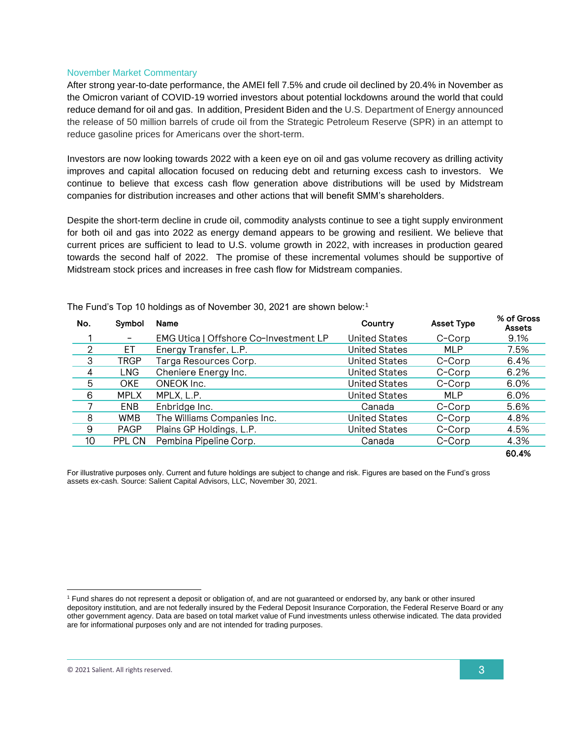## November Market Commentary

After strong year-to-date performance, the AMEI fell 7.5% and crude oil declined by 20.4% in November as the Omicron variant of COVID-19 worried investors about potential lockdowns around the world that could reduce demand for oil and gas. In addition, President Biden and the U.S. Department of Energy announced the release of 50 million barrels of crude oil from the Strategic Petroleum Reserve (SPR) in an attempt to reduce gasoline prices for Americans over the short-term.

Investors are now looking towards 2022 with a keen eye on oil and gas volume recovery as drilling activity improves and capital allocation focused on reducing debt and returning excess cash to investors. We continue to believe that excess cash flow generation above distributions will be used by Midstream companies for distribution increases and other actions that will benefit SMM's shareholders.

Despite the short-term decline in crude oil, commodity analysts continue to see a tight supply environment for both oil and gas into 2022 as energy demand appears to be growing and resilient. We believe that current prices are sufficient to lead to U.S. volume growth in 2022, with increases in production geared towards the second half of 2022. The promise of these incremental volumes should be supportive of Midstream stock prices and increases in free cash flow for Midstream companies.

| No.           | Symbol                       | Name                                  | Country              | <b>Asset Type</b> | 70 UI UI USS<br><b>Assets</b> |
|---------------|------------------------------|---------------------------------------|----------------------|-------------------|-------------------------------|
|               | $\qquad \qquad \blacksquare$ | EMG Utica   Offshore Co-Investment LP | <b>United States</b> | C-Corp            | 9.1%                          |
| $\mathcal{P}$ | ЕT                           | Energy Transfer, L.P.                 | <b>United States</b> | <b>MLP</b>        | 7.5%                          |
| 3             | TRGP                         | Targa Resources Corp.                 | <b>United States</b> | C-Corp            | 6.4%                          |
| 4             | LNG.                         | Cheniere Energy Inc.                  | <b>United States</b> | C-Corp            | 6.2%                          |
| 5             | OKE                          | ONEOK Inc.                            | <b>United States</b> | C-Corp            | 6.0%                          |
| 6             | <b>MPLX</b>                  | MPLX, L.P.                            | <b>United States</b> | MLP.              | 6.0%                          |
|               | ENB.                         | Enbridge Inc.                         | Canada               | C-Corp            | 5.6%                          |
| 8             | <b>WMB</b>                   | The Williams Companies Inc.           | <b>United States</b> | C-Corp            | 4.8%                          |
| 9             | <b>PAGP</b>                  | Plains GP Holdings, L.P.              | <b>United States</b> | C-Corp            | 4.5%                          |
| 10            | PPL CN                       | Pembina Pipeline Corp.                | Canada               | C-Corp            | 4.3%                          |
|               |                              |                                       |                      |                   | 60.4%                         |

The Fund's Top 10 holdings as of November 30, 2021 are shown below:<sup>1</sup>

For illustrative purposes only. Current and future holdings are subject to change and risk. Figures are based on the Fund's gross assets ex-cash. Source: Salient Capital Advisors, LLC, November 30, 2021.

 $\alpha$   $\alpha$   $\alpha$ 

<sup>1</sup> Fund shares do not represent a deposit or obligation of, and are not guaranteed or endorsed by, any bank or other insured depository institution, and are not federally insured by the Federal Deposit Insurance Corporation, the Federal Reserve Board or any other government agency. Data are based on total market value of Fund investments unless otherwise indicated. The data provided are for informational purposes only and are not intended for trading purposes.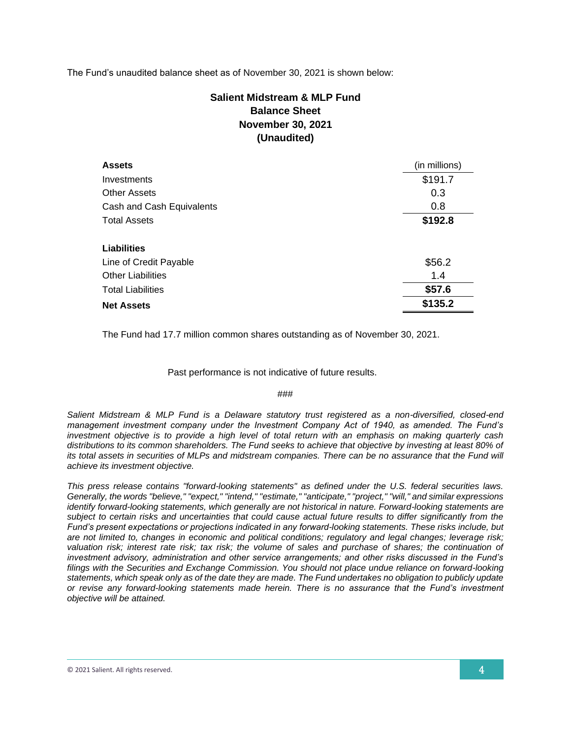The Fund's unaudited balance sheet as of November 30, 2021 is shown below:

## **Salient Midstream & MLP Fund Balance Sheet November 30, 2021 (Unaudited)**

| (in millions) |  |  |  |
|---------------|--|--|--|
| \$191.7       |  |  |  |
| 0.3           |  |  |  |
| 0.8           |  |  |  |
| \$192.8       |  |  |  |
|               |  |  |  |
|               |  |  |  |
| \$56.2        |  |  |  |
| 1.4           |  |  |  |
| \$57.6        |  |  |  |
| \$135.2       |  |  |  |
|               |  |  |  |

The Fund had 17.7 million common shares outstanding as of November 30, 2021.

Past performance is not indicative of future results.

#### ###

*Salient Midstream & MLP Fund is a Delaware statutory trust registered as a non-diversified, closed-end management investment company under the Investment Company Act of 1940, as amended. The Fund's investment objective is to provide a high level of total return with an emphasis on making quarterly cash distributions to its common shareholders. The Fund seeks to achieve that objective by investing at least 80% of*  its total assets in securities of MLPs and midstream companies. There can be no assurance that the Fund will *achieve its investment objective.*

*This press release contains "forward-looking statements" as defined under the U.S. federal securities laws. Generally, the words "believe," "expect," "intend," "estimate," "anticipate," "project," "will," and similar expressions identify forward-looking statements, which generally are not historical in nature. Forward-looking statements are subject to certain risks and uncertainties that could cause actual future results to differ significantly from the Fund's present expectations or projections indicated in any forward-looking statements. These risks include, but are not limited to, changes in economic and political conditions; regulatory and legal changes; leverage risk;*  valuation risk; interest rate risk; tax risk; the volume of sales and purchase of shares; the continuation of *investment advisory, administration and other service arrangements; and other risks discussed in the Fund's filings with the Securities and Exchange Commission. You should not place undue reliance on forward-looking statements, which speak only as of the date they are made. The Fund undertakes no obligation to publicly update or revise any forward-looking statements made herein. There is no assurance that the Fund's investment objective will be attained.*